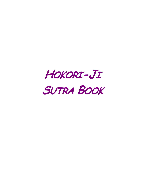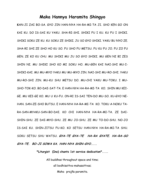## **Maka Hannya Haramita Shingyo**

**K**AN-JI ZAI BO-SA. GYO JIN HAN-NYA HA-RA-MI-TA JI. SHO KEN GO ON KAI KU. DO IS-SAI KU YAKU. SHA-RI-SHI. SHIKI FU I KU. KU FU I SHIKI. SHIKI SOKU ZE KU. KU SOKU ZE SHIKI. JU SO GYO SHIKI. YAKU BU NYO ZE. SHA-RI SHI ZE SHO HO KU SO. FU SHO FU METSU. FU KU FU JO. FU ZO FU GEN. ZE KO KU CHU. MU SHIKI MU JU SO GYO SHIKI. MU GEN NI BI ZES SHIN NI. MU SHIKI SHO KO MI SOKU HO. MU-GEN KAI NAI-SHI MU-I-SHIKI-KAI. MU MU-MYO YAKU MU MU-MYO JIN. NAI-SHI MU-RO-SHI. YAKU MU-RO-SHI JIN. MU-KU SHU METSU DO. MU-CHI YAKU MU-TOKU. I MU-SHO-TOK-KO. BO-DAI-SAT-TA. E HAN-NYA HA-RA-MI-TA KO. SHIN MU KEI-GE. MU KEI-GE KO. MU U KU-FU. ON-RI IS-SAI TEN-DO MU-SO. KU-GYO NE-HAN. SAN-ZE-SHO BUTSU. E HAN-NYA HA-RA-MI-TA KO. TOKU A-NOKU TA-RA-SAN-MYAKU-SAN-BO-DAI. KO CHI HAN-NYA HA-RA-MI-TA. ZE DAI-SHIN-SHU. ZE DAI-MYO-SHU. ZE MU JO-SHU. ZE MU TO-DO-SHU. NO-JO IS-SAI KU. SHIN-JITSU FU-KO. KO SETSU HAN-NYA HA-RA-MI-TA SHU. SOKU SETSU SHU WATSU. **GYA-TE GYA-TE HA-RA GYATE. HA-RA-SO GYA-TE. BO-JI SOWA KA. HAN-NYA SHIN-GYO.....** 

**\*Liturgist (Ino) chants 1st service dedication\*.....** 

All buddhas throughout space and time; all bodhisattva-mahasattvas; Maha prajña paramita.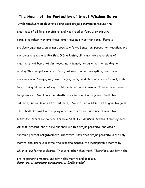## **The Heart of the Perfection of Great Wisdom Sutra**

 **A**valokiteshvara Bodhisattva doing deep prajña paramita perceived the emptiness of all five conditions, and was freed of fear. O Shariputra, form is no other than emptiness; emptiness no other than form. Form is precisely emptiness; emptiness precisely form. Sensation, perception, reaction, and consciousness are also like this. O Shariputra, all things are expressions of emptiness: not born, not destroyed; not stained, not pure; neither waxing nor waning. Thus, emptiness is not form, not sensation or perception, reaction or consciousness. No eye, ear, nose, tongue, body, mind. No color, sound, smell, taste, touch, thing. No realm of sight … No realm of consciousness. No ignorance; no end to ignorance … No old age and death; no cessation of old age and death. No suffering; no cause or end to suffering. No path, no wisdom, and no gain. No gain: Thus, bodhisattvas live this prajña paramita with no hindrance of mind. No hindrance, therefore no fear. Far beyond all such delusion, nirvana is already here. All past, present, and future buddhas live this prajña paramita and attain supreme perfect enlightenment. Therefore, know that prajña paramita is the holy mantra, the luminous mantra, the supreme mantra, the incomparable mantra by which all suffering is cleared. This is no other than truth. Therefore, set forth the prajña paramita mantra, set forth this mantra and proclaim: **Gate, gate, paragate parasamgate, bodhi svaha!**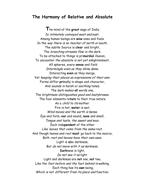# **The Harmony of Relative and Absolute**

**T**he mind of the **great** sage of India Is intimately conveyed west and east. Among human beings are **wise** ones and fools. In the way there is no teacher of north or south. The subtle Source is **clear** and bright, The *branching streams flow in the* dark. To be attached to things is pri**mordial** illusion, To encounter the absolute is not yet enlightenment. All spheres, every **sense** and field Intermingle even as they shine done. Interacting **even** as they merge, Yet keeping their places as expressions of their own. Forms differ **pri**mally in shape and character, And sounds in harsh or soothing tones. The dark makes **all** words one, The brightness distinguishes good and bad phrases. The four elements re**turn** to their true nature As a *child to its* mother. Fire is hot, **water** is wet, Wind moves and the earth is dense. Eye and form, **ear** and sound, **nose** and smell, Tongue and taste, the sweet and sour. Each inde**pendent** of the other Like leaves that come from the same root. And though leaves and root **must** go back to the source, Both root and leaves have their own uses. Light is **al**so darkness, But do not move with it as darkness. **Dark**ness is light, Do not see it as light. Light and darkness are **not** one, **not** two, Like the foot before and the foot behind in walking. Each thing has its **own** being, Which is not *different from its place and* function.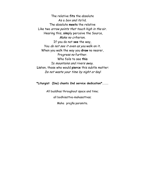The relative **fits** the absolute As a box and its lid. The absolute **meets** the relative Like two arrow points that touch high in the air. Hearing this, **sim**ply perceive the Source, Make no criterion. If you do not **see** the way, You do not see it even as you walk on it. When you walk the way you **draw** no nearer, Progress no further. Who fails to see **this**  Is mountains and rivers <sup>a</sup>way. **Lis**ten, those who would **pierce** this subtle matter: Do not waste your time by night or day!

#### **\*Liturgist (Ino) chants 2nd service dedication\*.....**

All buddhas throughout space and time;

all bodhisattva-mahasattvas;

Maha prajña paramita.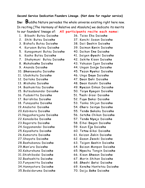#### **Second Service Dedication Founders Lineage. (Not done for regular service)**

**Ino: B**uddha Nature pervades the whole universe existing right here now. In reciting [The Harmony of Relative and Absolute] we dedicate its merits to our founders' lineage of: **All participants recite each name:** 

- 1. Bibashi Butsu Daio**sho** 36. Taiso Eka Daio**sho**
- 
- 3. Bishafu Butsu Daio**sho** 38. Daii **Do**shin Daio**sho**
- 4. Kuruson Butsu Daio**sho** 39. Daiman **Ko**nin Daio**sho**
- 5. Kunagomuni Butsu Daio**sho** 40. Daikan E**no** Daio**sho**
- 
- 7. Shakymuni Butsu Daio**sho** 42. Seki**to** Kisen Daio**sho**
- 
- 
- 
- 
- 
- 
- 
- 15. Butsudanandai Daio**sho** 50. Tai**yo Kyo**gen Daio**sho**
- 
- 
- 
- 
- 
- 
- 
- 
- 24.Sogyanandai Daio**sho** 59. Koun E**jo** Daio**sho**
- 
- 
- 
- 
- 
- 
- 
- 
- 
- 
- 35.Bodaidaruma Daio**sho** 70. Daiju **Soko** Daio**sho**
- 
- 2. Shiki Butsu Daio**sho** 37. Kanchi Sosan Daio**sho**
	-
	-
	-
- 6. Kasho Butsu Daio**sho** 41. Seigen **Gyo**shi Daio**sho**
	-
- 8. Makaka**sho** Daio**sho** 43. Yakusan Igen Daio**sho**
- 9. Ananda Daio**sho** 44. Ungan Don**jo** Daio**sho**
- 10. **Sho**nawashu Daio**sho** 45. **To**zan **Ryo**kai Daio**sho**
- 11. Ubakikuta Daio**sho** 46. Ungo **Doyo** Daio**sho**
- 12. Daitaka Daio**sho** 47. **Do**an **Do**hi Daio**sho**
- 13. Mishaka Daio**sho** 48. **Do**an Kanshi Daio**sho**
- 14. Bashumitsu Daio**sho** 49. **Ryo**zan Enkan Daio**sho**
	-
- 16. Fudamitta Daio**sho** 51. **To**shi Gisei Daio**sho**
- 17. Barishiba Daio**sho** 52. Fu**yo Do**kai Daio**sho**
- 18. Funayasha Daio**sho** 53. Tanka Shijun Daio**sho**
- 19.Anabotei Daio**sho** 54. **Cho**ro Sei**ryo** Daio**sho**
- 20.Kabimora Daio**sho** 55. Ten**do So**kaku Daio**sho**
- 21.Nagyaharajuna Daio**sho** 56. Set**cho** Chikan Daio**sho**
- 22.Kanadaiba Daio**sho** 57. Ten**do Nyo**jo Daio**sho**
- 23.Ragorata Daio**sho** 58. Eihei **Do**gen Daio**sho**
	-
- 25.Kayashata Daio**sho** 60. Te**tsu** Gikai Daio**sho**
- 26.Kumorata Daio**sho** 61. Keizan **Jo**kin Daio**sho**
- 27.Shayata Daio**sho** 62. Gasan **Jo**seki Daio**sho**
- 28.Bashubanzu Daio**sho** 63. Taigen **So**shin Daio**sho**
- 29.Man'ura Daio**sho** 64. Baizan Monpon Daio**sho**
- 30.Kakurokuna Daio**sho** 65. **Nyo**chu Tengin Daio**sho**
- 31.Shishibodai Daio**sho** 66. Kisan **Sho**san Daio**sho**
- 32.Bashashita Daio**sho** 67. Morin Shihan Daio**sho**
- 33.Funyomitta Daio**sho** 68. **Sho**shi **So**tai Daio**sho**
- 34.Hannyatara Daio**sho** 69. Ken**chu** Hantetsu Daio**sho**
	-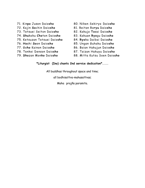- 
- 72. Kajin **So**chin Daio**sho** 81. Reitan Ro**ryu** Daio**sho**
- 73. Tetsuei Seiton Daio**sho** 82. Kakujo **To**sai Daio**sho**
- 74. **Shu**koku **Cho**ton Daio**sho** 83. Kakuan **Ryo**gu Daio**sho**
- 75. Ketsuzan Tetsuei Daio**sho** 84. **Ryo**ka Daibai Daio**sho**
- 
- 
- 78. Tenkei Denson Daio**sho** 87. Taizan Hakuyu Daio**sho**
- 
- 71. Kin**po** Jusen Daio**sho** 80. Niken Sekiryo Daio**sho**
	-
	-
	-
	-
- 76. **Ho**shi **So**on Daio**sho** 85. Ungan Guhaku Daio**sho**
- 77. Go**ho** Kainon Daio**sho** 86. Baian Hakujun Daio**sho**
	-
- 79. **Sho**zan Mon**ko** Daio**sho** 88. Mitta Kutsu Soen Daio**sho**

#### **\*Liturgist (Ino) chants 2nd service dedication\*.....**

All buddhas throughout space and time;

all bodhisattva-mahasattvas;

Maha prajña paramita.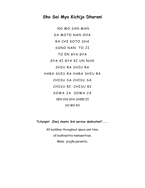# **Sho Sai Myo Kichijo Dharani**

NO MO SAN MAN DA MOTO NAN OHA RA CHI KOTO SHA SONO NAN TO JI TO EN GYA GYA GYA KI GYA KI UN NUN SHIU RA SHIU RA HARA SHIU RA HARA SHIU RA CHISU SA CHISU SA CHISU RI CHISU RI SOWA JA SOWA JA SEN CHI GYA SHIRI EI SO MO KO

**\*Liturgist (Ino) chants 3rd service dedication\*.....** 

All buddhas throughout space and time; all bodhisattva-mahasattvas; Maha prajña paramita.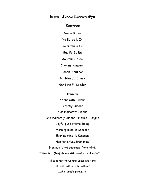## **Enmei Jukku Kannon Gyo**

## **K**anzeon

Namu Butsu

Yo Butsu U In

Yo Butsu U En

Bup Po So En

Jo Raku Ga Jo

Chonen Kanzeon

Bonen Kanzeon

Nen Nen Ju Shin Ki

Nen Nen Fu Ri Shin

**K**anzeon,

At one with Buddha

Directly Buddha

Also indirectly Buddha

And indirectly Buddha, Dharma , Sangha

Joyful pure eternal being

Morning mind is Kanzeon

Evening mind is Kanzeon

Nen nen arises from mind

Nen nen is not separate from mind.

#### **\*Liturgist (Ino) chants 4th service dedication\*.....**

All buddhas throughout space and time; all bodhisattva-mahasattvas; Maha prajña paramita.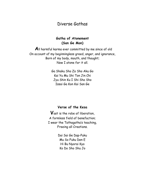# Diverse Gathas

## **Gatha of Atonement (San Ge Mon)**

 **A**ll harmful karma ever committed by me since of old On account of my beginningless greed, anger, and ignorance, Born of my body, mouth, and thought; Now I atone for it all.

> Ga Shaku Sho Zo Sho Aku Go Kai Yu Mu Shi Ton Jin Chi Jyu Shin Ku I Shi Sho Sho Issai Ga Kon Kai San Ge

#### **Verse of the Kesa**

**V**ast is the robe of liberation, A formless field of benefaction; I wear the Tathagatha's teaching, Freeing all Creations.

> Dai Sai Ge Dap-Puku Mu So Fuku Den E Hi Bu Nyorai Kyo Ko Do Sho Shu Jo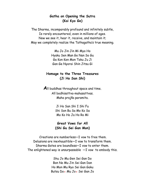#### **Gatha on Opening the Sutra (Kai Kyo Ge)**

The Dharma, incomparably profound and infinitely subtle, Is rarely encountered, even in millions of ages. Now we see it, hear it, receive, and maintain it; May we completely realize the Tathagatha's true meaning.

> Mu Jo Jin Jin Mi Myo Ho Hyaku Sen Man Go Nan So Gu Ga Kon Ken Mon Toku Ju Ji Gan Ge Nyorai Shin Jitsu Gi

## **Homage to the Three Treasures (Ji Ho San Shi)**

**A**ll buddhas throughout space and time. All bodhisattva-mahasattvas. Maha prajña paramita.

> Ji Ho San Shi I Shi Fu Shi Son Bu Sa Mo Ko Sa Mo Ko Ho Ja Ho Ro Mi

**Great Vows for All (Shi Gu Sei Gan Mon)** 

 Creations are numberless—I vow to free them. Delusions are inexhaustible—I vow to transform them. Dharma Gates are boundless—I vow to enter them. The enlightened way is unsurpassable  $-I$  vow to embody this.

> Shu Jo Mu Gen Sei Gan Do Bon No Mu Jin Sei Gan Dan Ho Mon Mu Ryo Sei Gan Gaku Butsu Do● Mu Jo● Sei Gan Jo